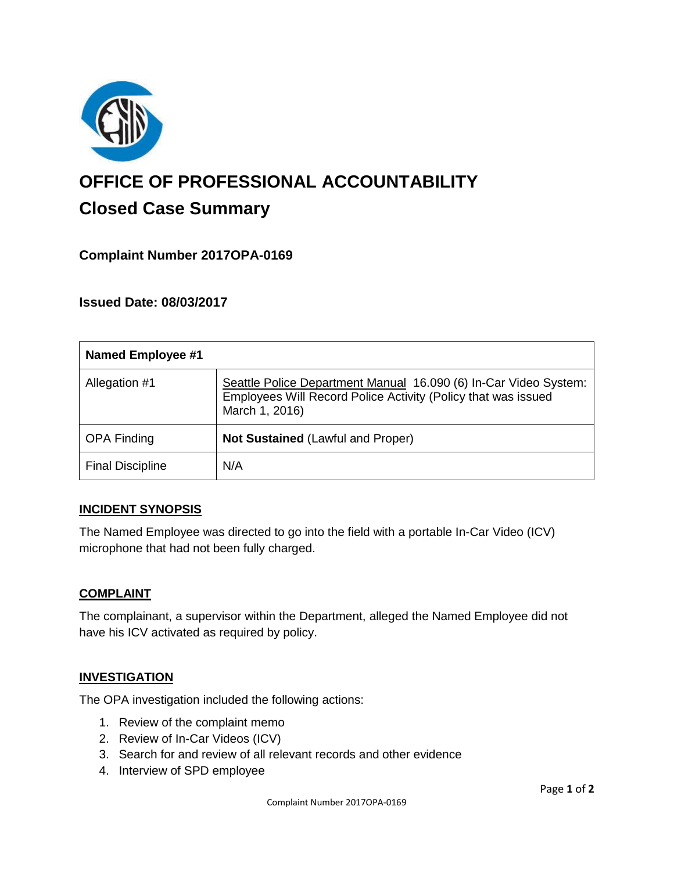

# **OFFICE OF PROFESSIONAL ACCOUNTABILITY Closed Case Summary**

# **Complaint Number 2017OPA-0169**

# **Issued Date: 08/03/2017**

| <b>Named Employee #1</b> |                                                                                                                                                     |
|--------------------------|-----------------------------------------------------------------------------------------------------------------------------------------------------|
| Allegation #1            | Seattle Police Department Manual 16.090 (6) In-Car Video System:<br>Employees Will Record Police Activity (Policy that was issued<br>March 1, 2016) |
| <b>OPA Finding</b>       | <b>Not Sustained (Lawful and Proper)</b>                                                                                                            |
| <b>Final Discipline</b>  | N/A                                                                                                                                                 |

## **INCIDENT SYNOPSIS**

The Named Employee was directed to go into the field with a portable In-Car Video (ICV) microphone that had not been fully charged.

#### **COMPLAINT**

The complainant, a supervisor within the Department, alleged the Named Employee did not have his ICV activated as required by policy.

## **INVESTIGATION**

The OPA investigation included the following actions:

- 1. Review of the complaint memo
- 2. Review of In-Car Videos (ICV)
- 3. Search for and review of all relevant records and other evidence
- 4. Interview of SPD employee